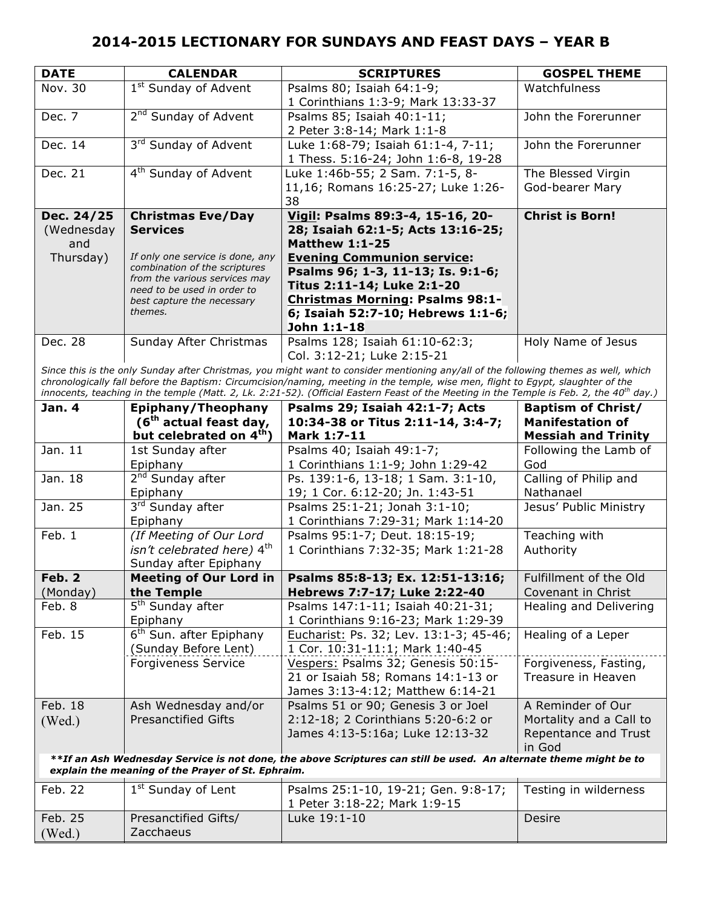| <b>DATE</b>                                                                                                                                                                                                                                                                                                                                                                                                                     | <b>CALENDAR</b>                                                | <b>SCRIPTURES</b>                                                                                                 | <b>GOSPEL THEME</b>        |  |
|---------------------------------------------------------------------------------------------------------------------------------------------------------------------------------------------------------------------------------------------------------------------------------------------------------------------------------------------------------------------------------------------------------------------------------|----------------------------------------------------------------|-------------------------------------------------------------------------------------------------------------------|----------------------------|--|
| Nov. 30                                                                                                                                                                                                                                                                                                                                                                                                                         | 1 <sup>st</sup> Sunday of Advent                               | Psalms 80; Isaiah $64:1-9$ ;<br>1 Corinthians 1:3-9; Mark 13:33-37                                                | Watchfulness               |  |
| Dec. 7                                                                                                                                                                                                                                                                                                                                                                                                                          | 2 <sup>nd</sup> Sunday of Advent                               | Psalms 85; Isaiah 40:1-11;<br>2 Peter 3:8-14; Mark 1:1-8                                                          | John the Forerunner        |  |
| Dec. 14                                                                                                                                                                                                                                                                                                                                                                                                                         | 3rd Sunday of Advent                                           | Luke 1:68-79; Isaiah 61:1-4, 7-11;<br>1 Thess. 5:16-24; John 1:6-8, 19-28                                         | John the Forerunner        |  |
| Dec. 21                                                                                                                                                                                                                                                                                                                                                                                                                         | 4 <sup>th</sup> Sunday of Advent                               | Luke 1:46b-55; 2 Sam. 7:1-5, 8-                                                                                   | The Blessed Virgin         |  |
|                                                                                                                                                                                                                                                                                                                                                                                                                                 |                                                                | 11,16; Romans 16:25-27; Luke 1:26-<br>38                                                                          | God-bearer Mary            |  |
| Dec. 24/25                                                                                                                                                                                                                                                                                                                                                                                                                      | <b>Christmas Eve/Day</b>                                       | Vigil: Psalms 89:3-4, 15-16, 20-                                                                                  | <b>Christ is Born!</b>     |  |
| (Wednesday                                                                                                                                                                                                                                                                                                                                                                                                                      | <b>Services</b>                                                | 28; Isaiah 62:1-5; Acts 13:16-25;                                                                                 |                            |  |
| and                                                                                                                                                                                                                                                                                                                                                                                                                             |                                                                | <b>Matthew 1:1-25</b>                                                                                             |                            |  |
| Thursday)                                                                                                                                                                                                                                                                                                                                                                                                                       | If only one service is done, any                               | <b>Evening Communion service:</b>                                                                                 |                            |  |
|                                                                                                                                                                                                                                                                                                                                                                                                                                 | combination of the scriptures<br>from the various services may | Psalms 96; 1-3, 11-13; Is. 9:1-6;                                                                                 |                            |  |
|                                                                                                                                                                                                                                                                                                                                                                                                                                 | need to be used in order to                                    | Titus 2:11-14; Luke 2:1-20                                                                                        |                            |  |
|                                                                                                                                                                                                                                                                                                                                                                                                                                 | best capture the necessary                                     | <b>Christmas Morning: Psalms 98:1-</b>                                                                            |                            |  |
|                                                                                                                                                                                                                                                                                                                                                                                                                                 | themes.                                                        | 6; Isaiah 52:7-10; Hebrews 1:1-6;                                                                                 |                            |  |
|                                                                                                                                                                                                                                                                                                                                                                                                                                 |                                                                | John 1:1-18                                                                                                       |                            |  |
| Dec. 28                                                                                                                                                                                                                                                                                                                                                                                                                         | Sunday After Christmas                                         | Psalms 128; Isaiah 61:10-62:3;<br>Col. 3:12-21; Luke 2:15-21                                                      | Holy Name of Jesus         |  |
| Since this is the only Sunday after Christmas, you might want to consider mentioning any/all of the following themes as well, which<br>chronologically fall before the Baptism: Circumcision/naming, meeting in the temple, wise men, flight to Egypt, slaughter of the<br>innocents, teaching in the temple (Matt. 2, Lk. 2:21-52). (Official Eastern Feast of the Meeting in the Temple is Feb. 2, the 40 <sup>th</sup> day.) |                                                                |                                                                                                                   |                            |  |
| <b>Jan. 4</b>                                                                                                                                                                                                                                                                                                                                                                                                                   | Epiphany/Theophany                                             | Psalms 29; Isaiah 42:1-7; Acts                                                                                    | <b>Baptism of Christ/</b>  |  |
|                                                                                                                                                                                                                                                                                                                                                                                                                                 | $(6th$ actual feast day,                                       | 10:34-38 or Titus 2:11-14, 3:4-7;                                                                                 | <b>Manifestation of</b>    |  |
|                                                                                                                                                                                                                                                                                                                                                                                                                                 | but celebrated on 4 <sup>th</sup> )                            | Mark 1:7-11                                                                                                       | <b>Messiah and Trinity</b> |  |
| Jan. 11                                                                                                                                                                                                                                                                                                                                                                                                                         | 1st Sunday after                                               | Psalms 40; Isaiah 49:1-7;                                                                                         | Following the Lamb of      |  |
|                                                                                                                                                                                                                                                                                                                                                                                                                                 | Epiphany                                                       | 1 Corinthians 1:1-9; John 1:29-42                                                                                 | God                        |  |
| Jan. 18                                                                                                                                                                                                                                                                                                                                                                                                                         | 2 <sup>nd</sup> Sunday after                                   | Ps. 139:1-6, 13-18; 1 Sam. 3:1-10,                                                                                | Calling of Philip and      |  |
|                                                                                                                                                                                                                                                                                                                                                                                                                                 | Epiphany                                                       | 19; 1 Cor. 6:12-20; Jn. 1:43-51                                                                                   | Nathanael                  |  |
| Jan. 25                                                                                                                                                                                                                                                                                                                                                                                                                         | 3rd Sunday after                                               | Psalms 25:1-21; Jonah 3:1-10;                                                                                     | Jesus' Public Ministry     |  |
|                                                                                                                                                                                                                                                                                                                                                                                                                                 | Epiphany                                                       | 1 Corinthians 7:29-31; Mark 1:14-20                                                                               |                            |  |
| Feb. 1                                                                                                                                                                                                                                                                                                                                                                                                                          | (If Meeting of Our Lord                                        | Psalms 95:1-7; Deut. 18:15-19;                                                                                    | Teaching with              |  |
|                                                                                                                                                                                                                                                                                                                                                                                                                                 | isn't celebrated here) 4th                                     | 1 Corinthians 7:32-35; Mark 1:21-28                                                                               | Authority                  |  |
|                                                                                                                                                                                                                                                                                                                                                                                                                                 | Sunday after Epiphany                                          |                                                                                                                   |                            |  |
| Feb. 2                                                                                                                                                                                                                                                                                                                                                                                                                          | <b>Meeting of Our Lord in</b>                                  | Psalms 85:8-13; Ex. 12:51-13:16;                                                                                  | Fulfillment of the Old     |  |
| (Monday)                                                                                                                                                                                                                                                                                                                                                                                                                        | the Temple                                                     | Hebrews 7:7-17; Luke 2:22-40                                                                                      | Covenant in Christ         |  |
| Feb. 8                                                                                                                                                                                                                                                                                                                                                                                                                          | 5 <sup>th</sup> Sunday after                                   | Psalms 147:1-11; Isaiah 40:21-31;                                                                                 | Healing and Delivering     |  |
|                                                                                                                                                                                                                                                                                                                                                                                                                                 | Epiphany                                                       | 1 Corinthians 9:16-23; Mark 1:29-39                                                                               |                            |  |
| Feb. 15                                                                                                                                                                                                                                                                                                                                                                                                                         | 6 <sup>th</sup> Sun. after Epiphany<br>(Sunday Before Lent)    | Eucharist: Ps. 32; Lev. 13:1-3; 45-46;<br>1 Cor. 10:31-11:1; Mark 1:40-45                                         | Healing of a Leper         |  |
|                                                                                                                                                                                                                                                                                                                                                                                                                                 | <b>Forgiveness Service</b>                                     | Vespers: Psalms 32; Genesis 50:15-                                                                                | Forgiveness, Fasting,      |  |
|                                                                                                                                                                                                                                                                                                                                                                                                                                 |                                                                | 21 or Isaiah 58; Romans 14:1-13 or                                                                                | Treasure in Heaven         |  |
|                                                                                                                                                                                                                                                                                                                                                                                                                                 |                                                                | James 3:13-4:12; Matthew 6:14-21                                                                                  |                            |  |
| Feb. 18                                                                                                                                                                                                                                                                                                                                                                                                                         | Ash Wednesday and/or                                           | Psalms 51 or 90; Genesis 3 or Joel                                                                                | A Reminder of Our          |  |
| (Wed.)                                                                                                                                                                                                                                                                                                                                                                                                                          | <b>Presanctified Gifts</b>                                     | 2:12-18; 2 Corinthians 5:20-6:2 or                                                                                | Mortality and a Call to    |  |
|                                                                                                                                                                                                                                                                                                                                                                                                                                 |                                                                | James 4:13-5:16a; Luke 12:13-32                                                                                   | Repentance and Trust       |  |
|                                                                                                                                                                                                                                                                                                                                                                                                                                 |                                                                |                                                                                                                   | in God                     |  |
|                                                                                                                                                                                                                                                                                                                                                                                                                                 | explain the meaning of the Prayer of St. Ephraim.              | **If an Ash Wednesday Service is not done, the above Scriptures can still be used. An alternate theme might be to |                            |  |
| Feb. 22                                                                                                                                                                                                                                                                                                                                                                                                                         | 1 <sup>st</sup> Sunday of Lent                                 | Psalms 25:1-10, 19-21; Gen. 9:8-17;<br>1 Peter 3:18-22; Mark 1:9-15                                               | Testing in wilderness      |  |
| Feb. 25                                                                                                                                                                                                                                                                                                                                                                                                                         | Presanctified Gifts/                                           | Luke 19:1-10                                                                                                      | Desire                     |  |
| (Wed.)                                                                                                                                                                                                                                                                                                                                                                                                                          | Zacchaeus                                                      |                                                                                                                   |                            |  |
|                                                                                                                                                                                                                                                                                                                                                                                                                                 |                                                                |                                                                                                                   |                            |  |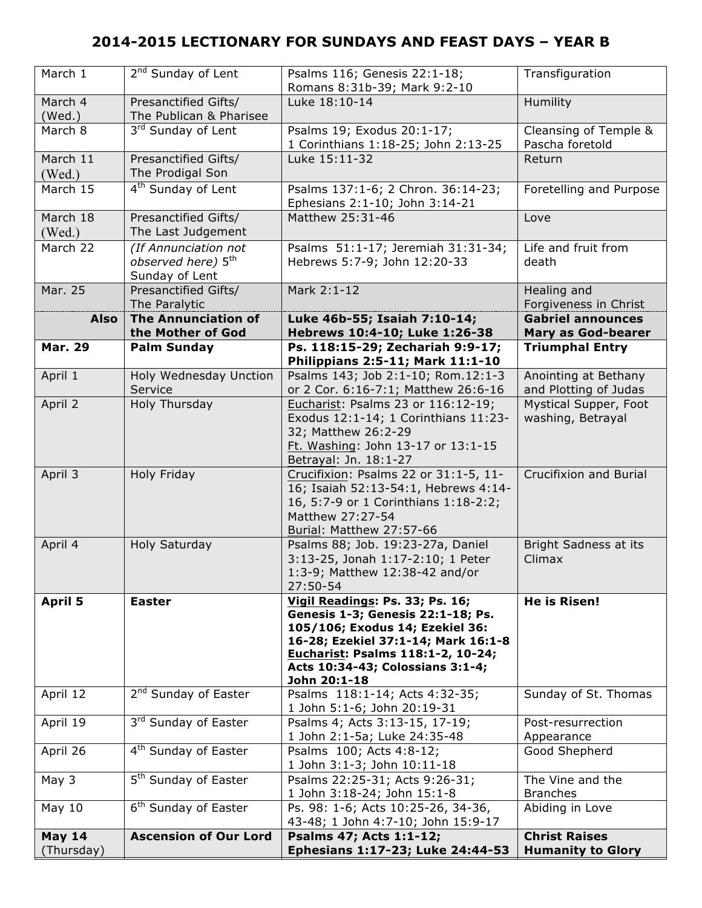| March 1        | $2nd$ Sunday of Lent             | Psalms 116; Genesis 22:1-18;<br>Romans 8:31b-39; Mark 9:2-10 | Transfiguration           |
|----------------|----------------------------------|--------------------------------------------------------------|---------------------------|
| March 4        | Presanctified Gifts/             | Luke 18:10-14                                                | Humility                  |
| (Wed.)         | The Publican & Pharisee          |                                                              |                           |
| March 8        | 3rd Sunday of Lent               | Psalms 19; Exodus 20:1-17;                                   | Cleansing of Temple &     |
|                |                                  | 1 Corinthians 1:18-25; John 2:13-25                          | Pascha foretold           |
| March 11       | Presanctified Gifts/             | Luke 15:11-32                                                | Return                    |
|                | The Prodigal Son                 |                                                              |                           |
| (Wed.)         |                                  |                                                              |                           |
| March 15       | 4 <sup>th</sup> Sunday of Lent   | Psalms 137:1-6; 2 Chron. 36:14-23;                           | Foretelling and Purpose   |
|                |                                  | Ephesians 2:1-10; John 3:14-21                               |                           |
| March 18       | Presanctified Gifts/             | Matthew 25:31-46                                             | Love                      |
| (Wed.)         | The Last Judgement               |                                                              |                           |
| March 22       | (If Annunciation not             | Psalms 51:1-17; Jeremiah 31:31-34;                           | Life and fruit from       |
|                | observed here) 5 <sup>th</sup>   | Hebrews 5:7-9; John 12:20-33                                 | death                     |
|                | Sunday of Lent                   |                                                              |                           |
| Mar. 25        | Presanctified Gifts/             | Mark 2:1-12                                                  | Healing and               |
|                | The Paralytic                    |                                                              | Forgiveness in Christ     |
| <b>Also</b>    | <b>The Annunciation of</b>       | Luke 46b-55; Isaiah 7:10-14;                                 | <b>Gabriel announces</b>  |
|                | the Mother of God                | Hebrews 10:4-10; Luke 1:26-38                                | <b>Mary as God-bearer</b> |
| <b>Mar. 29</b> | <b>Palm Sunday</b>               | Ps. 118:15-29; Zechariah 9:9-17;                             | <b>Triumphal Entry</b>    |
|                |                                  | Philippians 2:5-11; Mark 11:1-10                             |                           |
| April 1        | Holy Wednesday Unction           | Psalms 143; Job 2:1-10; Rom.12:1-3                           | Anointing at Bethany      |
|                | Service                          | or 2 Cor. 6:16-7:1; Matthew 26:6-16                          | and Plotting of Judas     |
| April 2        | Holy Thursday                    | Eucharist: Psalms 23 or 116:12-19;                           | Mystical Supper, Foot     |
|                |                                  | Exodus 12:1-14; 1 Corinthians 11:23-                         | washing, Betrayal         |
|                |                                  | 32; Matthew 26:2-29                                          |                           |
|                |                                  | Ft. Washing: John 13-17 or 13:1-15                           |                           |
|                |                                  | Betrayal: Jn. 18:1-27                                        |                           |
| April 3        | Holy Friday                      | Crucifixion: Psalms 22 or 31:1-5, 11-                        | Crucifixion and Burial    |
|                |                                  | 16; Isaiah 52:13-54:1, Hebrews 4:14-                         |                           |
|                |                                  | 16, 5:7-9 or 1 Corinthians 1:18-2:2;                         |                           |
|                |                                  | Matthew 27:27-54                                             |                           |
|                |                                  | Burial: Matthew 27:57-66                                     |                           |
| April 4        | Holy Saturday                    | Psalms 88; Job. 19:23-27a, Daniel                            | Bright Sadness at its     |
|                |                                  | 3:13-25, Jonah 1:17-2:10; 1 Peter                            | Climax                    |
|                |                                  | 1:3-9; Matthew 12:38-42 and/or                               |                           |
|                |                                  | 27:50-54                                                     |                           |
| <b>April 5</b> | <b>Easter</b>                    | Vigil Readings: Ps. 33; Ps. 16;                              | <b>He is Risen!</b>       |
|                |                                  | Genesis 1-3; Genesis 22:1-18; Ps.                            |                           |
|                |                                  | 105/106; Exodus 14; Ezekiel 36:                              |                           |
|                |                                  | 16-28; Ezekiel 37:1-14; Mark 16:1-8                          |                           |
|                |                                  | Eucharist: Psalms 118:1-2, 10-24;                            |                           |
|                |                                  | Acts 10:34-43; Colossians 3:1-4;                             |                           |
|                |                                  | John 20:1-18                                                 |                           |
| April 12       | 2 <sup>nd</sup> Sunday of Easter | Psalms 118:1-14; Acts 4:32-35;                               | Sunday of St. Thomas      |
|                |                                  | 1 John 5:1-6; John 20:19-31                                  |                           |
| April 19       | 3rd Sunday of Easter             | Psalms 4; Acts 3:13-15, 17-19;                               | Post-resurrection         |
|                |                                  | 1 John 2:1-5a; Luke 24:35-48                                 | Appearance                |
| April 26       | 4 <sup>th</sup> Sunday of Easter | Psalms 100; Acts 4:8-12;                                     | Good Shepherd             |
|                |                                  | 1 John 3:1-3; John 10:11-18                                  |                           |
| May 3          | 5 <sup>th</sup> Sunday of Easter | Psalms 22:25-31; Acts 9:26-31;                               | The Vine and the          |
|                |                                  | 1 John 3:18-24; John 15:1-8                                  | <b>Branches</b>           |
| May $10$       | 6 <sup>th</sup> Sunday of Easter | Ps. 98: 1-6; Acts 10:25-26, 34-36,                           | Abiding in Love           |
|                |                                  | 43-48; 1 John 4:7-10; John 15:9-17                           |                           |
| May $14$       | <b>Ascension of Our Lord</b>     | Psalms 47; Acts 1:1-12;                                      | <b>Christ Raises</b>      |
| (Thursday)     |                                  | Ephesians 1:17-23; Luke 24:44-53                             | <b>Humanity to Glory</b>  |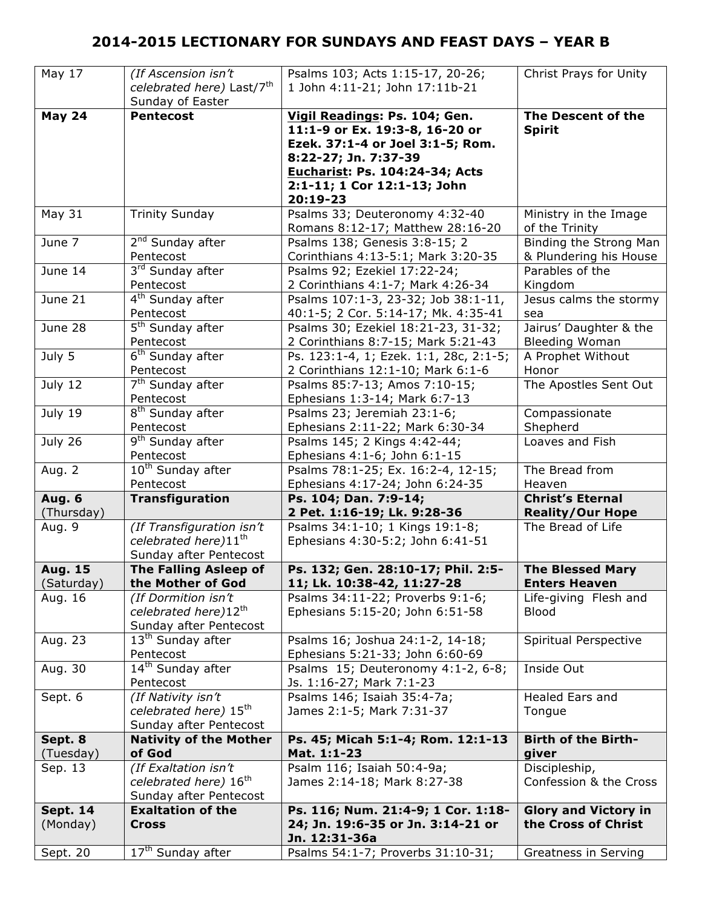| May 17          | (If Ascension isn't                   | Psalms 103; Acts 1:15-17, 20-26;       | Christ Prays for Unity      |
|-----------------|---------------------------------------|----------------------------------------|-----------------------------|
|                 | celebrated here) Last/7 <sup>th</sup> | 1 John 4:11-21; John 17:11b-21         |                             |
|                 | Sunday of Easter                      |                                        |                             |
| <b>May 24</b>   | <b>Pentecost</b>                      | Vigil Readings: Ps. 104; Gen.          | The Descent of the          |
|                 |                                       |                                        |                             |
|                 |                                       | 11:1-9 or Ex. 19:3-8, 16-20 or         | <b>Spirit</b>               |
|                 |                                       | Ezek. 37:1-4 or Joel 3:1-5; Rom.       |                             |
|                 |                                       | 8:22-27; Jn. 7:37-39                   |                             |
|                 |                                       | Eucharist: Ps. 104:24-34; Acts         |                             |
|                 |                                       | 2:1-11; 1 Cor 12:1-13; John            |                             |
|                 |                                       | 20:19-23                               |                             |
| <b>May 31</b>   | <b>Trinity Sunday</b>                 | Psalms 33; Deuteronomy 4:32-40         | Ministry in the Image       |
|                 |                                       | Romans 8:12-17; Matthew 28:16-20       | of the Trinity              |
| June 7          | 2 <sup>nd</sup> Sunday after          | Psalms 138; Genesis 3:8-15; 2          | Binding the Strong Man      |
|                 | Pentecost                             | Corinthians 4:13-5:1; Mark 3:20-35     | & Plundering his House      |
| June 14         | 3rd Sunday after                      | Psalms 92; Ezekiel 17:22-24;           | Parables of the             |
|                 | Pentecost                             | 2 Corinthians 4:1-7; Mark 4:26-34      | Kingdom                     |
| June 21         | 4 <sup>th</sup> Sunday after          | Psalms 107:1-3, 23-32; Job 38:1-11,    | Jesus calms the stormy      |
|                 | Pentecost                             | 40:1-5; 2 Cor. 5:14-17; Mk. 4:35-41    | sea                         |
| June 28         | 5 <sup>th</sup> Sunday after          | Psalms 30; Ezekiel 18:21-23, 31-32;    | Jairus' Daughter & the      |
|                 | Pentecost                             | 2 Corinthians 8:7-15; Mark 5:21-43     | <b>Bleeding Woman</b>       |
| July 5          | 6 <sup>th</sup> Sunday after          | Ps. 123:1-4, 1; Ezek. 1:1, 28c, 2:1-5; | A Prophet Without           |
|                 | Pentecost                             | 2 Corinthians 12:1-10; Mark 6:1-6      | Honor                       |
| July 12         | 7 <sup>th</sup> Sunday after          | Psalms 85:7-13; Amos 7:10-15;          | The Apostles Sent Out       |
|                 | Pentecost                             | Ephesians 1:3-14; Mark 6:7-13          |                             |
| July 19         | 8 <sup>th</sup> Sunday after          | Psalms 23; Jeremiah 23:1-6;            | Compassionate               |
|                 | Pentecost                             | Ephesians 2:11-22; Mark 6:30-34        | Shepherd                    |
| July 26         | 9 <sup>th</sup> Sunday after          | Psalms 145; 2 Kings 4:42-44;           | Loaves and Fish             |
|                 | Pentecost                             | Ephesians 4:1-6; John 6:1-15           |                             |
| Aug. 2          | 10 <sup>th</sup> Sunday after         | Psalms 78:1-25; Ex. 16:2-4, 12-15;     | The Bread from              |
|                 |                                       |                                        |                             |
|                 |                                       |                                        |                             |
|                 | Pentecost                             | Ephesians 4:17-24; John 6:24-35        | Heaven                      |
| <b>Aug. 6</b>   | Transfiguration                       | Ps. 104; Dan. 7:9-14;                  | <b>Christ's Eternal</b>     |
| (Thursday)      |                                       | 2 Pet. 1:16-19; Lk. 9:28-36            | <b>Reality/Our Hope</b>     |
| Aug. 9          | (If Transfiguration isn't             | Psalms 34:1-10; 1 Kings 19:1-8;        | The Bread of Life           |
|                 | celebrated here)11 <sup>th</sup>      | Ephesians 4:30-5:2; John 6:41-51       |                             |
|                 | Sunday after Pentecost                |                                        |                             |
| <b>Aug. 15</b>  | <b>The Falling Asleep of</b>          | Ps. 132; Gen. 28:10-17; Phil. 2:5-     | <b>The Blessed Mary</b>     |
| (Saturday)      | the Mother of God                     | 11; Lk. 10:38-42, 11:27-28             | <b>Enters Heaven</b>        |
| Aug. 16         | (If Dormition isn't                   | Psalms 34:11-22; Proverbs 9:1-6;       | Life-giving Flesh and       |
|                 | celebrated here)12th                  | Ephesians 5:15-20; John 6:51-58        | <b>Blood</b>                |
|                 | Sunday after Pentecost                |                                        |                             |
| Aug. 23         | 13 <sup>th</sup> Sunday after         | Psalms 16; Joshua 24:1-2, 14-18;       | Spiritual Perspective       |
|                 | Pentecost                             | Ephesians 5:21-33; John 6:60-69        |                             |
| Aug. 30         | 14 <sup>th</sup> Sunday after         | Psalms 15; Deuteronomy 4:1-2, 6-8;     | Inside Out                  |
|                 | Pentecost                             | Js. 1:16-27; Mark 7:1-23               |                             |
| Sept. 6         | (If Nativity isn't                    | Psalms 146; Isaiah 35:4-7a;            | <b>Healed Ears and</b>      |
|                 | celebrated here) 15 <sup>th</sup>     | James 2:1-5; Mark 7:31-37              | Tongue                      |
|                 | Sunday after Pentecost                |                                        |                             |
| Sept. 8         | <b>Nativity of the Mother</b>         | Ps. 45; Micah 5:1-4; Rom. 12:1-13      | <b>Birth of the Birth-</b>  |
| (Tuesday)       | of God                                | Mat. 1:1-23                            | giver                       |
| Sep. 13         | (If Exaltation isn't                  | Psalm 116; Isaiah 50:4-9a;             | Discipleship,               |
|                 | celebrated here) 16 <sup>th</sup>     | James 2:14-18; Mark 8:27-38            | Confession & the Cross      |
|                 | Sunday after Pentecost                |                                        |                             |
| <b>Sept. 14</b> | <b>Exaltation of the</b>              | Ps. 116; Num. 21:4-9; 1 Cor. 1:18-     | <b>Glory and Victory in</b> |
| (Monday)        | <b>Cross</b>                          | 24; Jn. 19:6-35 or Jn. 3:14-21 or      | the Cross of Christ         |
|                 | 17 <sup>th</sup> Sunday after         | Jn. 12:31-36a                          |                             |